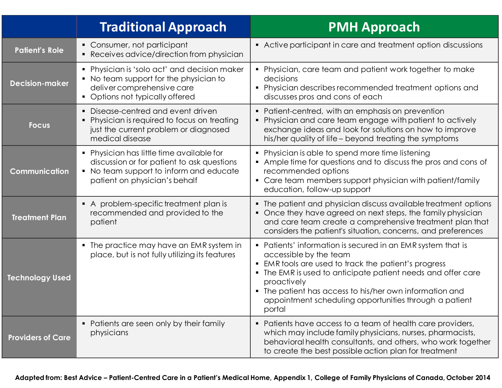|                          | <b>Traditional Approach</b>                                                                                                                                         | <b>PMH</b> Approach                                                                                                                                                                                                                                                                                                                                       |
|--------------------------|---------------------------------------------------------------------------------------------------------------------------------------------------------------------|-----------------------------------------------------------------------------------------------------------------------------------------------------------------------------------------------------------------------------------------------------------------------------------------------------------------------------------------------------------|
| <b>Patient's Role</b>    | • Consumer, not participant<br>• Receives advice/direction from physician                                                                                           | • Active participant in care and treatment option discussions                                                                                                                                                                                                                                                                                             |
| <b>Decision-maker</b>    | • Physician is 'solo act' and decision maker<br>• No team support for the physician to<br>deliver comprehensive care<br>• Options not typically offered             | • Physician, care team and patient work together to make<br>decisions<br>Physician describes recommended treatment options and<br>discusses pros and cons of each                                                                                                                                                                                         |
| <b>Focus</b>             | Disease-centred and event driven<br>• Physician is required to focus on treating<br>just the current problem or diagnosed<br>medical disease                        | • Patient-centred, with an emphasis on prevention<br>• Physician and care team engage with patient to actively<br>exchange ideas and look for solutions on how to improve<br>his/her quality of life – beyond treating the symptoms                                                                                                                       |
| Communication            | • Physician has little time available for<br>discussion or for patient to ask questions<br>• No team support to inform and educate<br>patient on physician's behalf | • Physician is able to spend more time listening<br>• Ample time for questions and to discuss the pros and cons of<br>recommended options<br>• Care team members support physician with patient/family<br>education, follow-up support                                                                                                                    |
| <b>Treatment Plan</b>    | • A problem-specific treatment plan is<br>recommended and provided to the<br>patient                                                                                | • The patient and physician discuss available treatment options<br>• Once they have agreed on next steps, the family physician<br>and care team create a comprehensive treatment plan that<br>considers the patient's situation, concerns, and preferences                                                                                                |
| <b>Technology Used</b>   | • The practice may have an EMR system in<br>place, but is not fully utilizing its features                                                                          | • Patients' information is secured in an EMR system that is<br>accessible by the team<br>• EMR tools are used to track the patient's progress<br>The EMR is used to anticipate patient needs and offer care<br>proactively<br>• The patient has access to his/her own information and<br>appointment scheduling opportunities through a patient<br>portal |
| <b>Providers of Care</b> | • Patients are seen only by their family<br>physicians                                                                                                              | • Patients have access to a team of health care providers,<br>which may include family physicians, nurses, pharmacists,<br>behavioral health consultants, and others, who work together<br>to create the best possible action plan for treatment                                                                                                          |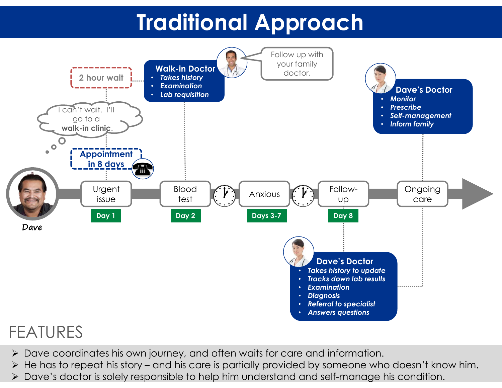## Traditional Approach



## FEATURES

- Dave coordinates his own journey, and often waits for care and information.
- 
- Dave's doctor is solely responsible to help him understand and self-manage his condition.